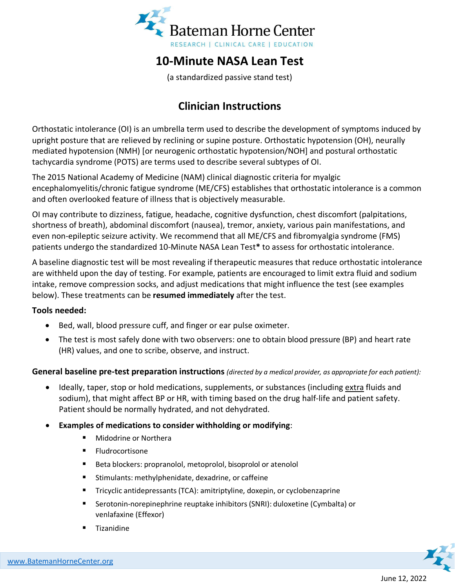

# **10-Minute NASA Lean Test**

(a standardized passive stand test)

## **Clinician Instructions**

Orthostatic intolerance (OI) is an umbrella term used to describe the development of symptoms induced by upright posture that are relieved by reclining or supine posture. Orthostatic hypotension (OH), neurally mediated hypotension (NMH) [or neurogenic orthostatic hypotension/NOH] and postural orthostatic tachycardia syndrome (POTS) are terms used to describe several subtypes of OI.

The 2015 National Academy of Medicine (NAM) clinical diagnostic criteria for myalgic encephalomyelitis/chronic fatigue syndrome (ME/CFS) establishes that orthostatic intolerance is a common and often overlooked feature of illness that is objectively measurable.

OI may contribute to dizziness, fatigue, headache, cognitive dysfunction, chest discomfort (palpitations, shortness of breath), abdominal discomfort (nausea), tremor, anxiety, various pain manifestations, and even non-epileptic seizure activity. We recommend that all ME/CFS and fibromyalgia syndrome (FMS) patients undergo the standardized 10-Minute NASA Lean Test**\*** to assess for orthostatic intolerance.

A baseline diagnostic test will be most revealing if therapeutic measures that reduce orthostatic intolerance are withheld upon the day of testing. For example, patients are encouraged to limit extra fluid and sodium intake, remove compression socks, and adjust medications that might influence the test (see examples below). These treatments can be **resumed immediately** after the test.

#### **Tools needed:**

- Bed, wall, blood pressure cuff, and finger or ear pulse oximeter.
- The test is most safely done with two observers: one to obtain blood pressure (BP) and heart rate (HR) values, and one to scribe, observe, and instruct.

#### **General baseline pre-test preparation instructions** *(directed by a medical provider, as appropriate for each patient):*

- Ideally, taper, stop or hold medications, supplements, or substances (including extra fluids and sodium), that might affect BP or HR, with timing based on the drug half-life and patient safety. Patient should be normally hydrated, and not dehydrated.
- **Examples of medications to consider withholding or modifying**:
	- **Midodrine or Northera**
	- **Fludrocortisone**
	- Beta blockers: propranolol, metoprolol, bisoprolol or atenolol
	- Stimulants: methylphenidate, dexadrine, or caffeine
	- Tricyclic antidepressants (TCA): amitriptyline, doxepin, or cyclobenzaprine
	- Serotonin-norepinephrine reuptake inhibitors (SNRI): duloxetine (Cymbalta) or venlafaxine (Effexor)
	- Tizanidine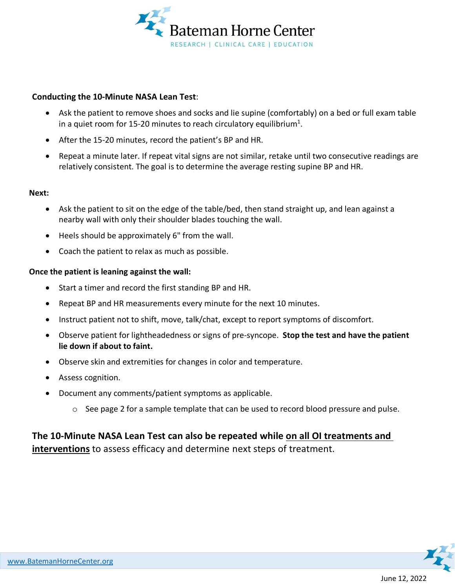

#### **Conducting the 10-Minute NASA Lean Test**:

- Ask the patient to remove shoes and socks and lie supine (comfortably) on a bed or full exam table in a quiet room for 15-20 minutes to reach circulatory equilibrium<sup>1</sup>.
- After the 15-20 minutes, record the patient's BP and HR.
- Repeat a minute later. If repeat vital signs are not similar, retake until two consecutive readings are relatively consistent. The goal is to determine the average resting supine BP and HR.

#### **Next:**

- Ask the patient to sit on the edge of the table/bed, then stand straight up, and lean against a nearby wall with only their shoulder blades touching the wall.
- Heels should be approximately 6" from the wall.
- Coach the patient to relax as much as possible.

#### **Once the patient is leaning against the wall:**

- Start a timer and record the first standing BP and HR.
- Repeat BP and HR measurements every minute for the next 10 minutes.
- Instruct patient not to shift, move, talk/chat, except to report symptoms of discomfort.
- Observe patient for lightheadedness or signs of pre-syncope. **Stop the test and have the patient lie down if about to faint.**
- Observe skin and extremities for changes in color and temperature.
- Assess cognition.
- Document any comments/patient symptoms as applicable.
	- $\circ$  See page 2 for a sample template that can be used to record blood pressure and pulse.

### **The 10-Minute NASA Lean Test can also be repeated while on all OI treatments and interventions** to assess efficacy and determine next steps of treatment.

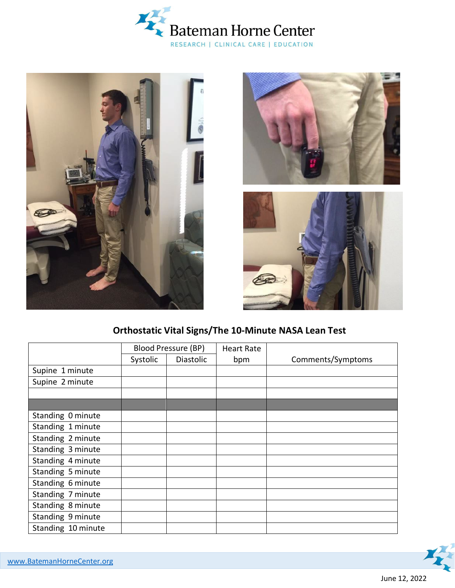







### **Orthostatic Vital Signs/The 10-Minute NASA Lean Test**

|                    | Blood Pressure (BP) |                  | <b>Heart Rate</b> |                   |
|--------------------|---------------------|------------------|-------------------|-------------------|
|                    | Systolic            | <b>Diastolic</b> | bpm               | Comments/Symptoms |
| Supine 1 minute    |                     |                  |                   |                   |
| Supine 2 minute    |                     |                  |                   |                   |
|                    |                     |                  |                   |                   |
|                    |                     |                  |                   |                   |
| Standing 0 minute  |                     |                  |                   |                   |
| Standing 1 minute  |                     |                  |                   |                   |
| Standing 2 minute  |                     |                  |                   |                   |
| Standing 3 minute  |                     |                  |                   |                   |
| Standing 4 minute  |                     |                  |                   |                   |
| Standing 5 minute  |                     |                  |                   |                   |
| Standing 6 minute  |                     |                  |                   |                   |
| Standing 7 minute  |                     |                  |                   |                   |
| Standing 8 minute  |                     |                  |                   |                   |
| Standing 9 minute  |                     |                  |                   |                   |
| Standing 10 minute |                     |                  |                   |                   |